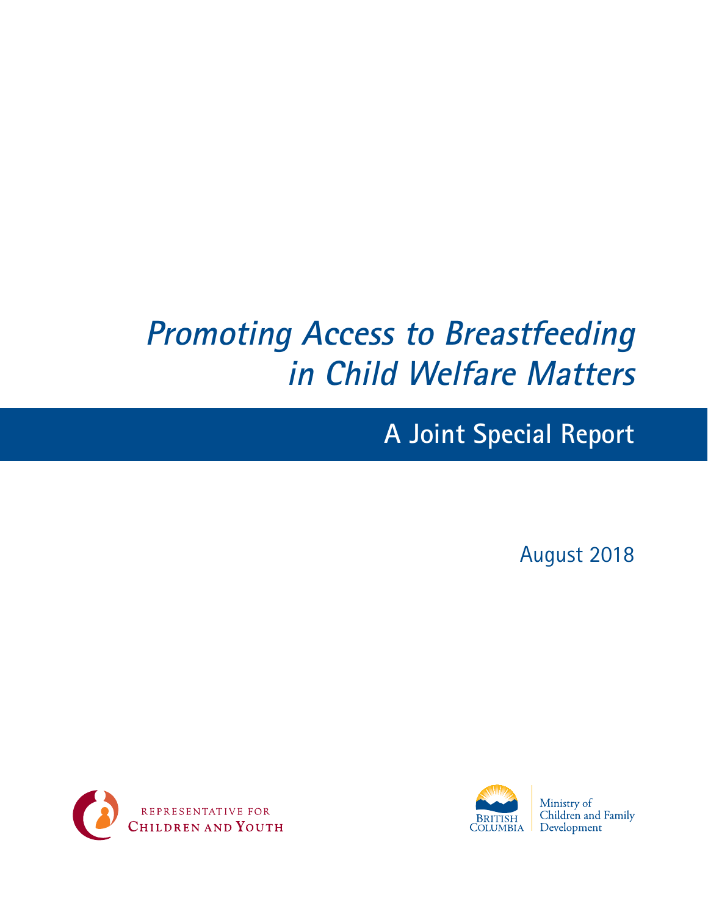# **Promoting Access to Breastfeeding in Child Welfare Matters**

# **A Joint Special Report**

August 2018





Ministry of Children and Family Development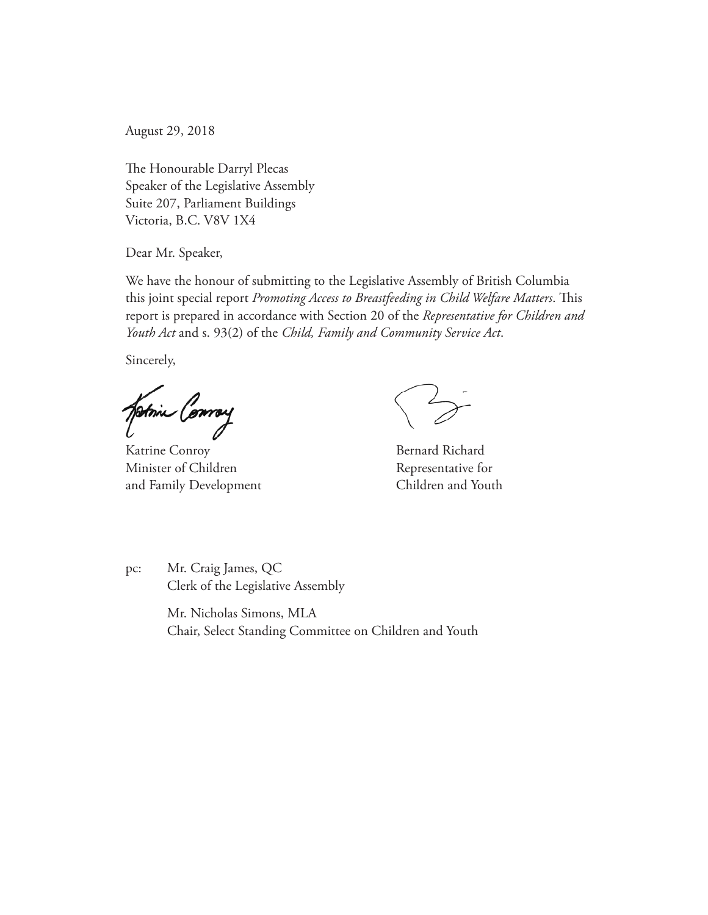August 29, 2018

The Honourable Darryl Plecas Speaker of the Legislative Assembly Suite 207, Parliament Buildings Victoria, B.C. V8V 1X4

Dear Mr. Speaker,

We have the honour of submitting to the Legislative Assembly of British Columbia this joint special report *Promoting Access to Breastfeeding in Child Welfare Matters*. This report is prepared in accordance with Section 20 of the *Representative for Children and Youth Act* and s. 93(2) of the *Child, Family and Community Service Act*.

Sincerely,

fotoin Conroy

Katrine Conroy **Bernard Richard** Minister of Children Representative for and Family Development Children and Youth

pc: Mr. Craig James, QC Clerk of the Legislative Assembly

> Mr. Nicholas Simons, MLA Chair, Select Standing Committee on Children and Youth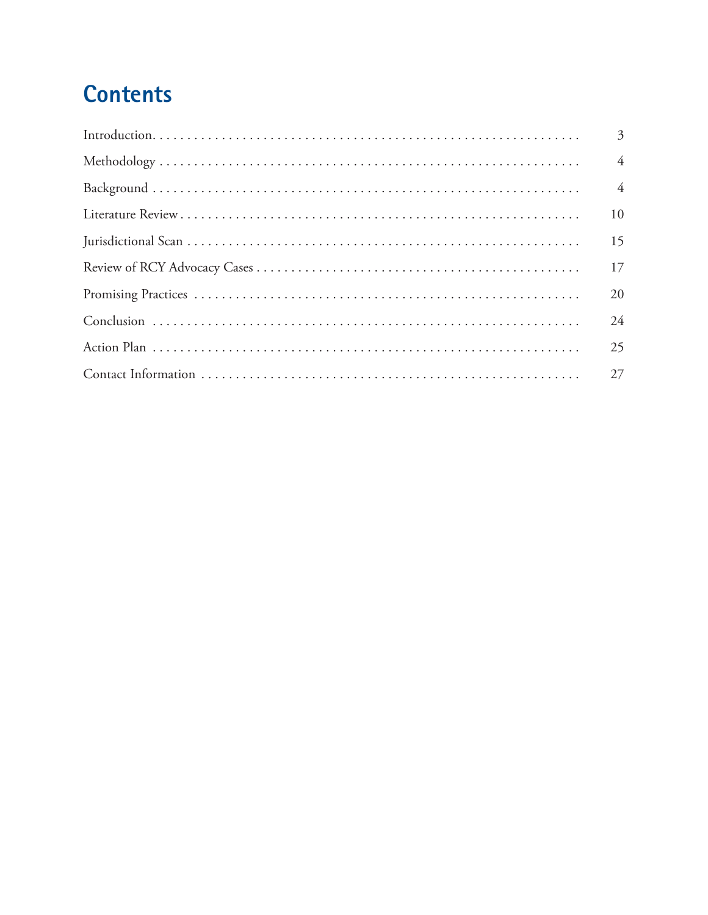# **Contents**

| $\overline{3}$ |
|----------------|
| $\overline{4}$ |
| $\overline{4}$ |
| 10             |
| 15             |
|                |
| 20             |
| 24             |
| 25             |
|                |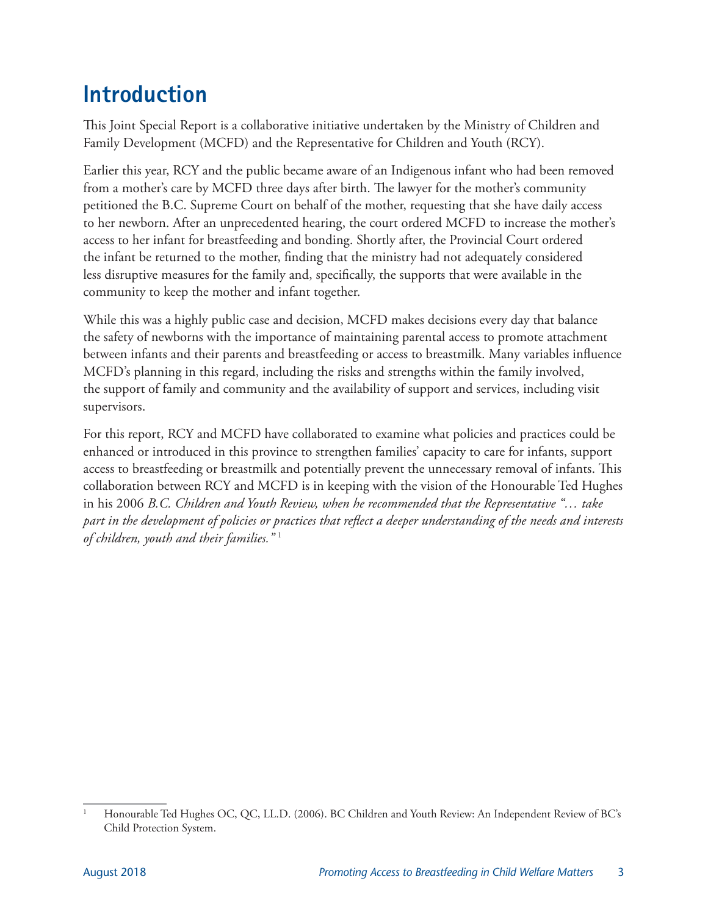# <span id="page-6-0"></span>**Introduction**

This Joint Special Report is a collaborative initiative undertaken by the Ministry of Children and Family Development (MCFD) and the Representative for Children and Youth (RCY).

Earlier this year, RCY and the public became aware of an Indigenous infant who had been removed from a mother's care by MCFD three days after birth. The lawyer for the mother's community petitioned the B.C. Supreme Court on behalf of the mother, requesting that she have daily access to her newborn. After an unprecedented hearing, the court ordered MCFD to increase the mother's access to her infant for breastfeeding and bonding. Shortly after, the Provincial Court ordered the infant be returned to the mother, finding that the ministry had not adequately considered less disruptive measures for the family and, specifically, the supports that were available in the community to keep the mother and infant together.

While this was a highly public case and decision, MCFD makes decisions every day that balance the safety of newborns with the importance of maintaining parental access to promote attachment between infants and their parents and breastfeeding or access to breastmilk. Many variables influence MCFD's planning in this regard, including the risks and strengths within the family involved, the support of family and community and the availability of support and services, including visit supervisors.

For this report, RCY and MCFD have collaborated to examine what policies and practices could be enhanced or introduced in this province to strengthen families' capacity to care for infants, support access to breastfeeding or breastmilk and potentially prevent the unnecessary removal of infants. This collaboration between RCY and MCFD is in keeping with the vision of the Honourable Ted Hughes in his 2006 *B.C. Children and Youth Review, when he recommended that the Representative "… take part in the development of policies or practices that reflect a deeper understanding of the needs and interests of children, youth and their families."* <sup>1</sup>

<sup>1</sup> Honourable Ted Hughes OC, QC, LL.D. (2006). BC Children and Youth Review: An Independent Review of BC's Child Protection System.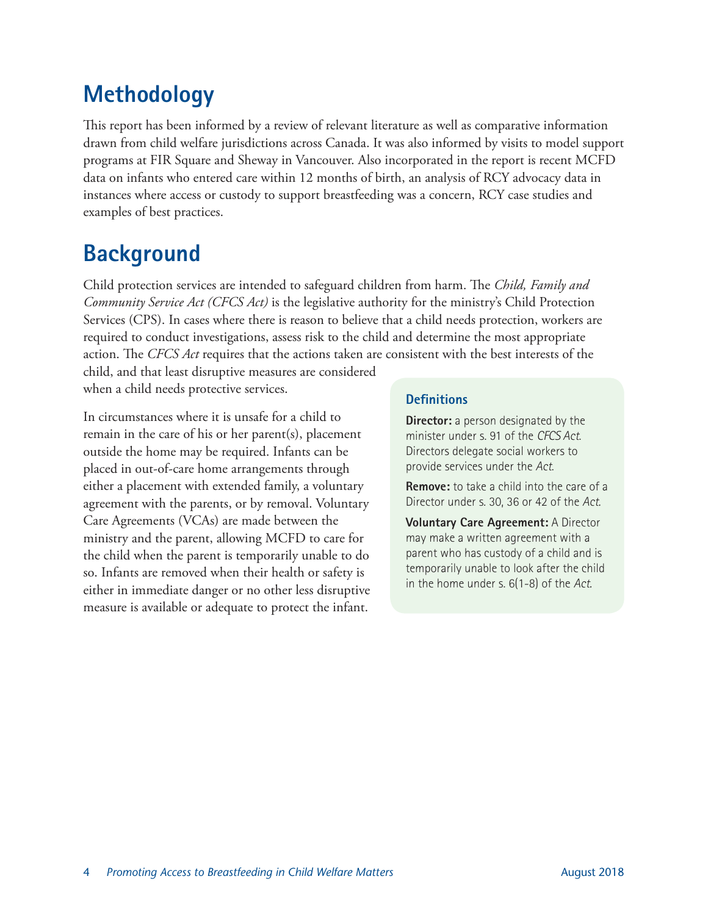# <span id="page-7-0"></span>**Methodology**

This report has been informed by a review of relevant literature as well as comparative information drawn from child welfare jurisdictions across Canada. It was also informed by visits to model support programs at FIR Square and Sheway in Vancouver. Also incorporated in the report is recent MCFD data on infants who entered care within 12 months of birth, an analysis of RCY advocacy data in instances where access or custody to support breastfeeding was a concern, RCY case studies and examples of best practices.

## **Background**

Child protection services are intended to safeguard children from harm. The *Child, Family and Community Service Act (CFCS Act)* is the legislative authority for the ministry's Child Protection Services (CPS). In cases where there is reason to believe that a child needs protection, workers are required to conduct investigations, assess risk to the child and determine the most appropriate action. The *CFCS Act* requires that the actions taken are consistent with the best interests of the

child, and that least disruptive measures are considered when a child needs protective services.

In circumstances where it is unsafe for a child to remain in the care of his or her parent(s), placement outside the home may be required. Infants can be placed in out-of-care home arrangements through either a placement with extended family, a voluntary agreement with the parents, or by removal. Voluntary Care Agreements (VCAs) are made between the ministry and the parent, allowing MCFD to care for the child when the parent is temporarily unable to do so. Infants are removed when their health or safety is either in immediate danger or no other less disruptive measure is available or adequate to protect the infant.

#### **Definitions**

**Director:** a person designated by the minister under s. 91 of the *CFCS Act*. Directors delegate social workers to provide services under the *Act*.

**Remove:** to take a child into the care of a Director under s. 30, 36 or 42 of the *Act.*

**Voluntary Care Agreement:** A Director may make a written agreement with a parent who has custody of a child and is temporarily unable to look after the child in the home under s. 6(1-8) of the *Act.*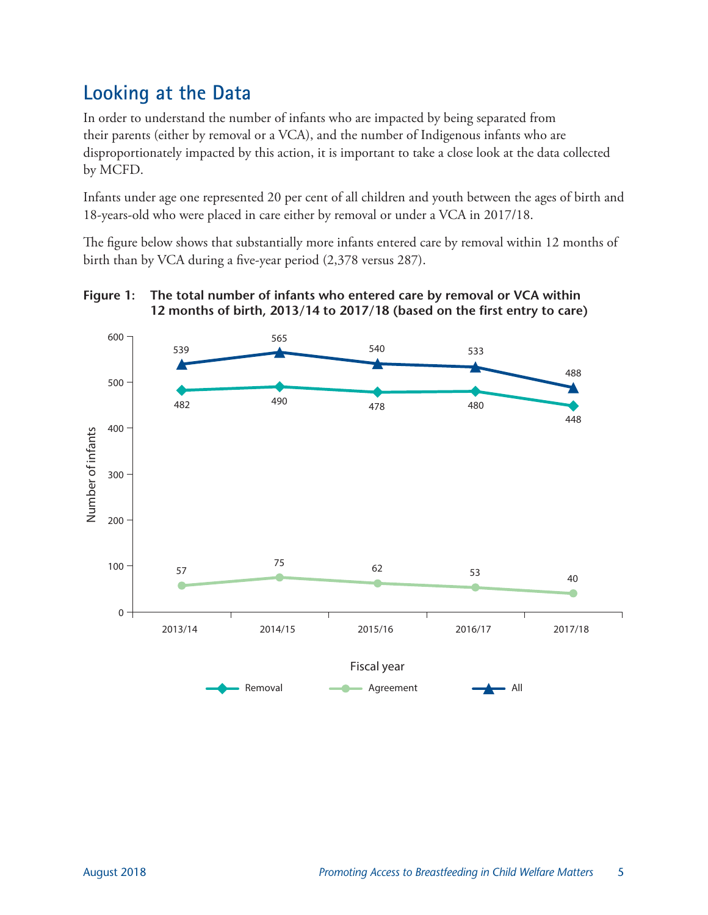### **Looking at the Data**

In order to understand the number of infants who are impacted by being separated from their parents (either by removal or a VCA), and the number of Indigenous infants who are disproportionately impacted by this action, it is important to take a close look at the data collected by MCFD.

Infants under age one represented 20 per cent of all children and youth between the ages of birth and 18-years-old who were placed in care either by removal or under a VCA in 2017/18.

The figure below shows that substantially more infants entered care by removal within 12 months of birth than by VCA during a five-year period (2,378 versus 287).



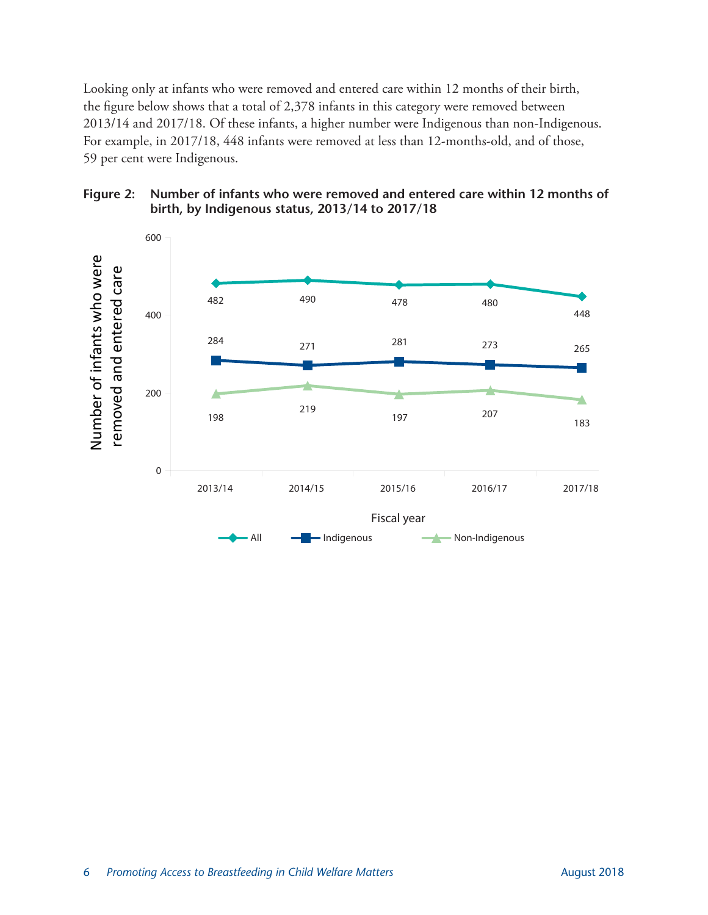Looking only at infants who were removed and entered care within 12 months of their birth, the figure below shows that a total of 2,378 infants in this category were removed between 2013/14 and 2017/18. Of these infants, a higher number were Indigenous than non-Indigenous. For example, in 2017/18, 448 infants were removed at less than 12-months-old, and of those, 59 per cent were Indigenous.



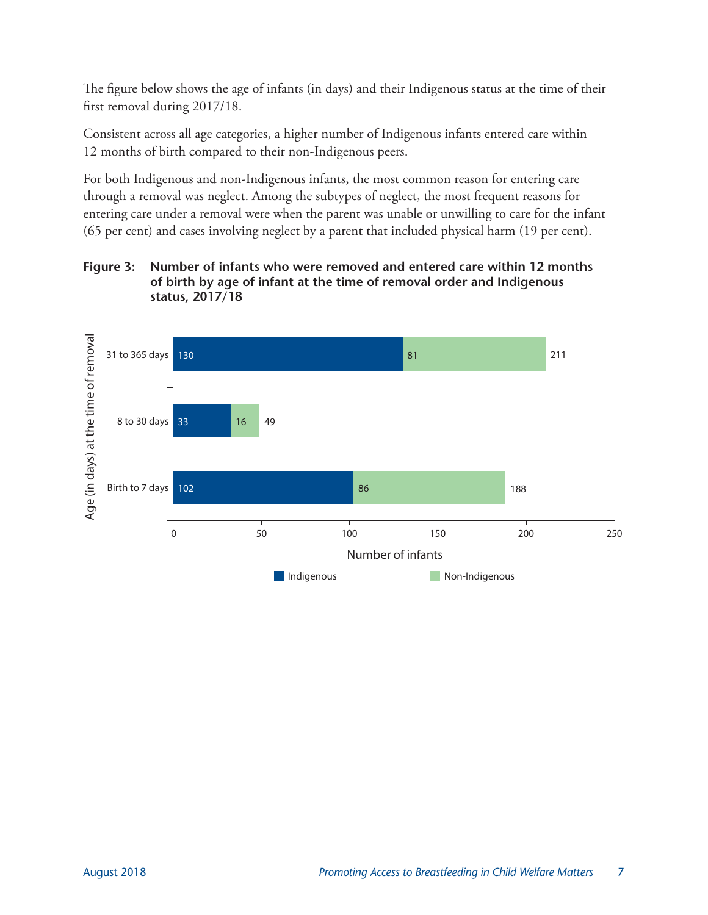The figure below shows the age of infants (in days) and their Indigenous status at the time of their first removal during 2017/18.

Consistent across all age categories, a higher number of Indigenous infants entered care within 12 months of birth compared to their non-Indigenous peers.

For both Indigenous and non-Indigenous infants, the most common reason for entering care through a removal was neglect. Among the subtypes of neglect, the most frequent reasons for entering care under a removal were when the parent was unable or unwilling to care for the infant (65 per cent) and cases involving neglect by a parent that included physical harm (19 per cent).

#### **Figure 3: Number of infants who were removed and entered care within 12 months of birth by age of infant at the time of removal order and Indigenous status, 2017/18**

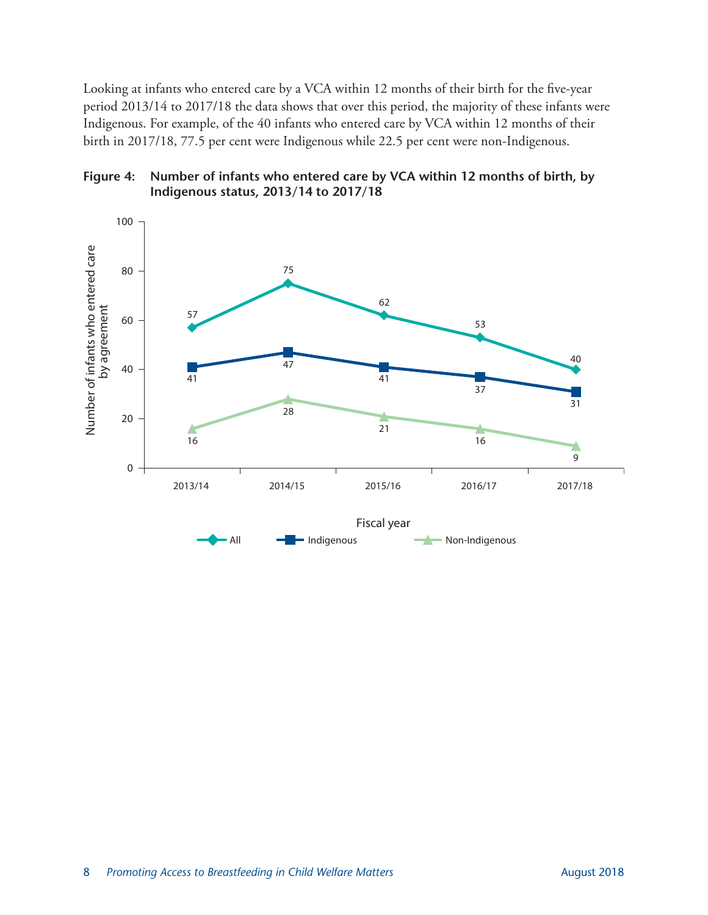Looking at infants who entered care by a VCA within 12 months of their birth for the five-year period 2013/14 to 2017/18 the data shows that over this period, the majority of these infants were Indigenous. For example, of the 40 infants who entered care by VCA within 12 months of their birth in 2017/18, 77.5 per cent were Indigenous while 22.5 per cent were non-Indigenous.



All  $\blacksquare$  Indigenous  $\blacksquare$  Non-Indigenous

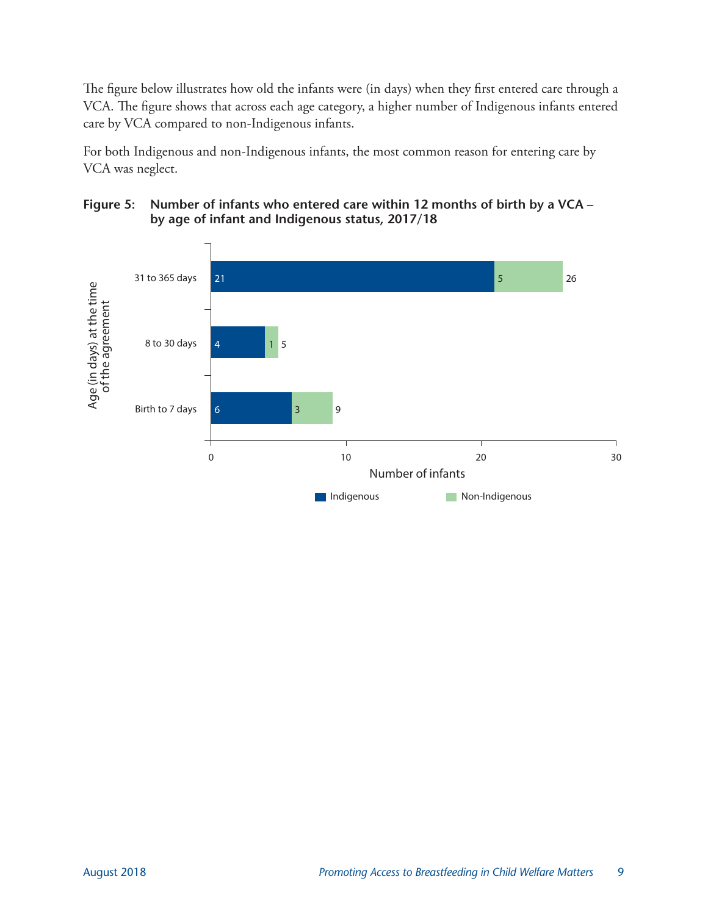The figure below illustrates how old the infants were (in days) when they first entered care through a VCA. The figure shows that across each age category, a higher number of Indigenous infants entered care by VCA compared to non-Indigenous infants.

For both Indigenous and non-Indigenous infants, the most common reason for entering care by VCA was neglect.



#### **Figure 5: Number of infants who entered care within 12 months of birth by a VCA – by age of infant and Indigenous status, 2017/18**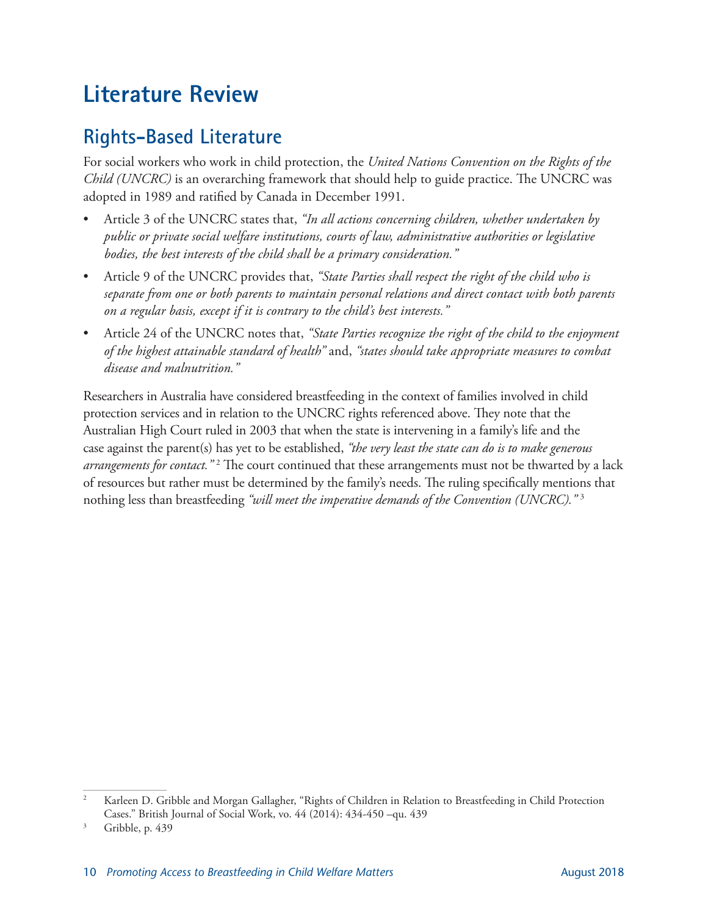# <span id="page-13-0"></span>**Literature Review**

### **Rights-Based Literature**

For social workers who work in child protection, the *United Nations Convention on the Rights of the Child (UNCRC)* is an overarching framework that should help to guide practice. The UNCRC was adopted in 1989 and ratified by Canada in December 1991.

- Article 3 of the UNCRC states that, *"In all actions concerning children, whether undertaken by public or private social welfare institutions, courts of law, administrative authorities or legislative bodies, the best interests of the child shall be a primary consideration."*
- Article 9 of the UNCRC provides that, *"State Parties shall respect the right of the child who is separate from one or both parents to maintain personal relations and direct contact with both parents on a regular basis, except if it is contrary to the child's best interests."*
- Article 24 of the UNCRC notes that, *"State Parties recognize the right of the child to the enjoyment of the highest attainable standard of health"* and, *"states should take appropriate measures to combat disease and malnutrition."*

Researchers in Australia have considered breastfeeding in the context of families involved in child protection services and in relation to the UNCRC rights referenced above. They note that the Australian High Court ruled in 2003 that when the state is intervening in a family's life and the case against the parent(s) has yet to be established, *"the very least the state can do is to make generous*  arrangements for contact."<sup>2</sup> The court continued that these arrangements must not be thwarted by a lack of resources but rather must be determined by the family's needs. The ruling specifically mentions that nothing less than breastfeeding *"will meet the imperative demands of the Convention (UNCRC)."* <sup>3</sup>

<sup>2</sup> Karleen D. Gribble and Morgan Gallagher, "Rights of Children in Relation to Breastfeeding in Child Protection Cases." British Journal of Social Work, vo. 44 (2014): 434-450 –qu. 439

Gribble, p. 439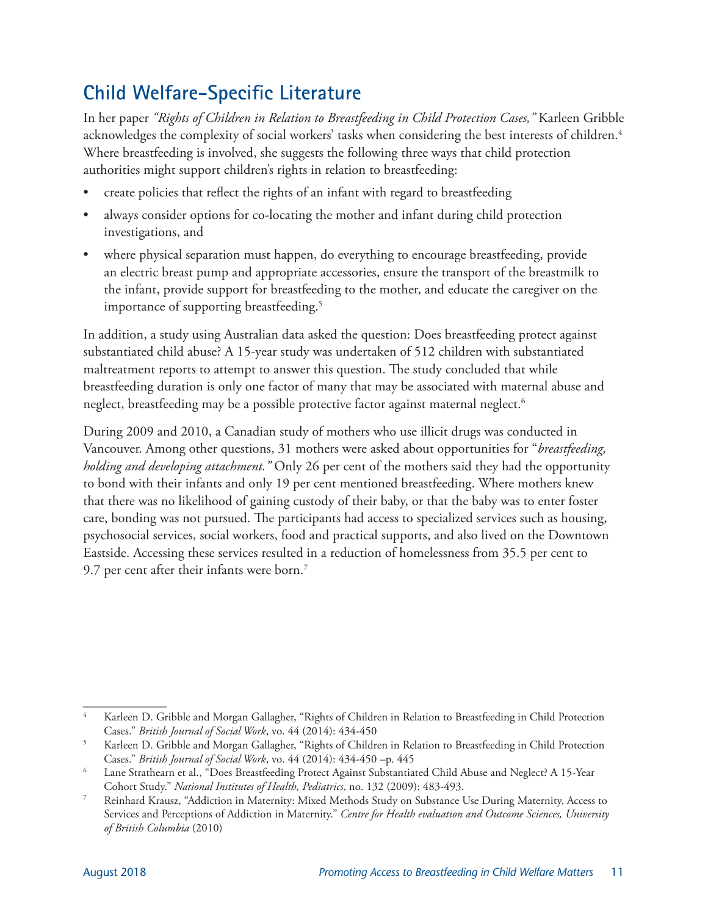### **Child Welfare-Specific Literature**

In her paper *"Rights of Children in Relation to Breastfeeding in Child Protection Cases,"* Karleen Gribble acknowledges the complexity of social workers' tasks when considering the best interests of children.<sup>4</sup> Where breastfeeding is involved, she suggests the following three ways that child protection authorities might support children's rights in relation to breastfeeding:

- create policies that reflect the rights of an infant with regard to breastfeeding
- always consider options for co-locating the mother and infant during child protection investigations, and
- where physical separation must happen, do everything to encourage breastfeeding, provide an electric breast pump and appropriate accessories, ensure the transport of the breastmilk to the infant, provide support for breastfeeding to the mother, and educate the caregiver on the importance of supporting breastfeeding.<sup>5</sup>

In addition, a study using Australian data asked the question: Does breastfeeding protect against substantiated child abuse? A 15-year study was undertaken of 512 children with substantiated maltreatment reports to attempt to answer this question. The study concluded that while breastfeeding duration is only one factor of many that may be associated with maternal abuse and neglect, breastfeeding may be a possible protective factor against maternal neglect.<sup>6</sup>

During 2009 and 2010, a Canadian study of mothers who use illicit drugs was conducted in Vancouver. Among other questions, 31 mothers were asked about opportunities for "*breastfeeding, holding and developing attachment."* Only 26 per cent of the mothers said they had the opportunity to bond with their infants and only 19 per cent mentioned breastfeeding. Where mothers knew that there was no likelihood of gaining custody of their baby, or that the baby was to enter foster care, bonding was not pursued. The participants had access to specialized services such as housing, psychosocial services, social workers, food and practical supports, and also lived on the Downtown Eastside. Accessing these services resulted in a reduction of homelessness from 35.5 per cent to 9.7 per cent after their infants were born.<sup>7</sup>

<sup>4</sup> Karleen D. Gribble and Morgan Gallagher, "Rights of Children in Relation to Breastfeeding in Child Protection Cases." *British Journal of Social Work*, vo. 44 (2014): 434-450

<sup>5</sup> Karleen D. Gribble and Morgan Gallagher, "Rights of Children in Relation to Breastfeeding in Child Protection Cases." *British Journal of Social Work*, vo. 44 (2014): 434-450 –p. 445

<sup>6</sup> Lane Strathearn et al., "Does Breastfeeding Protect Against Substantiated Child Abuse and Neglect? A 15-Year Cohort Study." *National Institutes of Health, Pediatrics*, no. 132 (2009): 483-493.

<sup>7</sup> Reinhard Krausz, "Addiction in Maternity: Mixed Methods Study on Substance Use During Maternity, Access to Services and Perceptions of Addiction in Maternity." *Centre for Health evaluation and Outcome Sciences, University of British Columbia* (2010)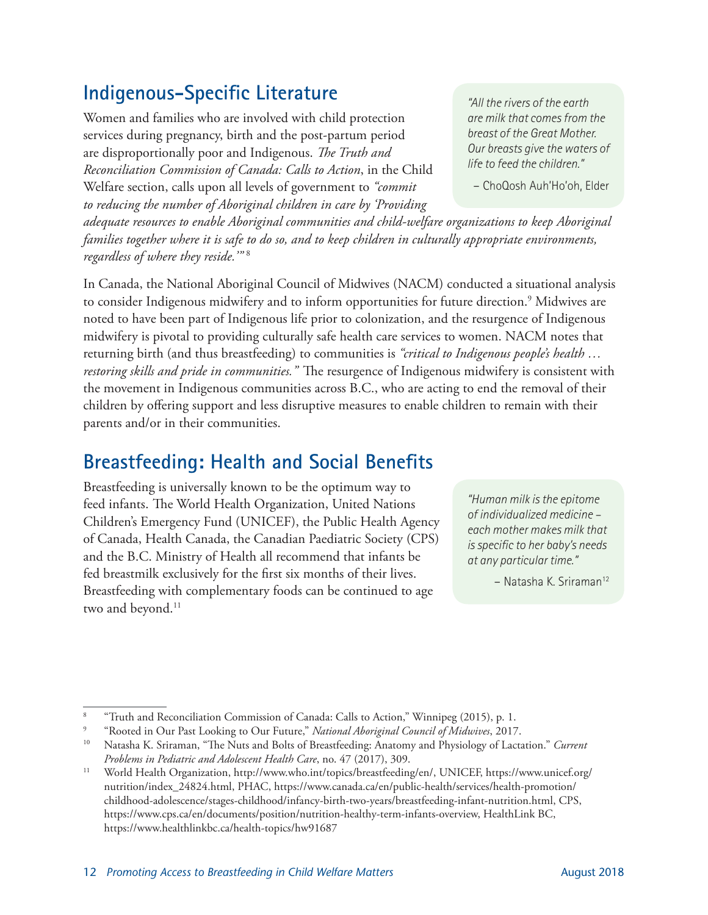### **Indigenous-Specific Literature**

Women and families who are involved with child protection services during pregnancy, birth and the post-partum period are disproportionally poor and Indigenous. *The Truth and Reconciliation Commission of Canada: Calls to Action*, in the Child Welfare section, calls upon all levels of government to *"commit to reducing the number of Aboriginal children in care by 'Providing* 

*adequate resources to enable Aboriginal communities and child-welfare organizations to keep Aboriginal families together where it is safe to do so, and to keep children in culturally appropriate environments, regardless of where they reside.'"* <sup>8</sup>

In Canada, the National Aboriginal Council of Midwives (NACM) conducted a situational analysis to consider Indigenous midwifery and to inform opportunities for future direction.<sup>9</sup> Midwives are noted to have been part of Indigenous life prior to colonization, and the resurgence of Indigenous midwifery is pivotal to providing culturally safe health care services to women. NACM notes that returning birth (and thus breastfeeding) to communities is *"critical to Indigenous people's health … restoring skills and pride in communities."* The resurgence of Indigenous midwifery is consistent with the movement in Indigenous communities across B.C., who are acting to end the removal of their children by offering support and less disruptive measures to enable children to remain with their parents and/or in their communities.

### **Breastfeeding: Health and Social Benefits**

Breastfeeding is universally known to be the optimum way to feed infants. The World Health Organization, United Nations Children's Emergency Fund (UNICEF), the Public Health Agency of Canada, Health Canada, the Canadian Paediatric Society (CPS) and the B.C. Ministry of Health all recommend that infants be fed breastmilk exclusively for the first six months of their lives. Breastfeeding with complementary foods can be continued to age two and beyond.<sup>11</sup>

*"Human milk is the epitome of individualized medicine – each mother makes milk that is specific to her baby's needs at any particular time."* 

– Natasha K. Sriraman12

– ChoQosh Auh'Ho'oh, Elder

<sup>8</sup> "Truth and Reconciliation Commission of Canada: Calls to Action," Winnipeg (2015), p. 1.

<sup>9</sup> "Rooted in Our Past Looking to Our Future," *National Aboriginal Council of Midwives*, 2017.

<sup>10</sup> Natasha K. Sriraman, "The Nuts and Bolts of Breastfeeding: Anatomy and Physiology of Lactation." *Current Problems in Pediatric and Adolescent Health Care*, no. 47 (2017), 309.

<sup>11</sup> World Health Organization, http://www.who.int/topics/breastfeeding/en/, UNICEF, https://www.unicef.org/ nutrition/index\_24824.html, PHAC, https://www.canada.ca/en/public-health/services/health-promotion/ childhood-adolescence/stages-childhood/infancy-birth-two-years/breastfeeding-infant-nutrition.html, CPS, https://www.cps.ca/en/documents/position/nutrition-healthy-term-infants-overview, HealthLink BC, https://www.healthlinkbc.ca/health-topics/hw91687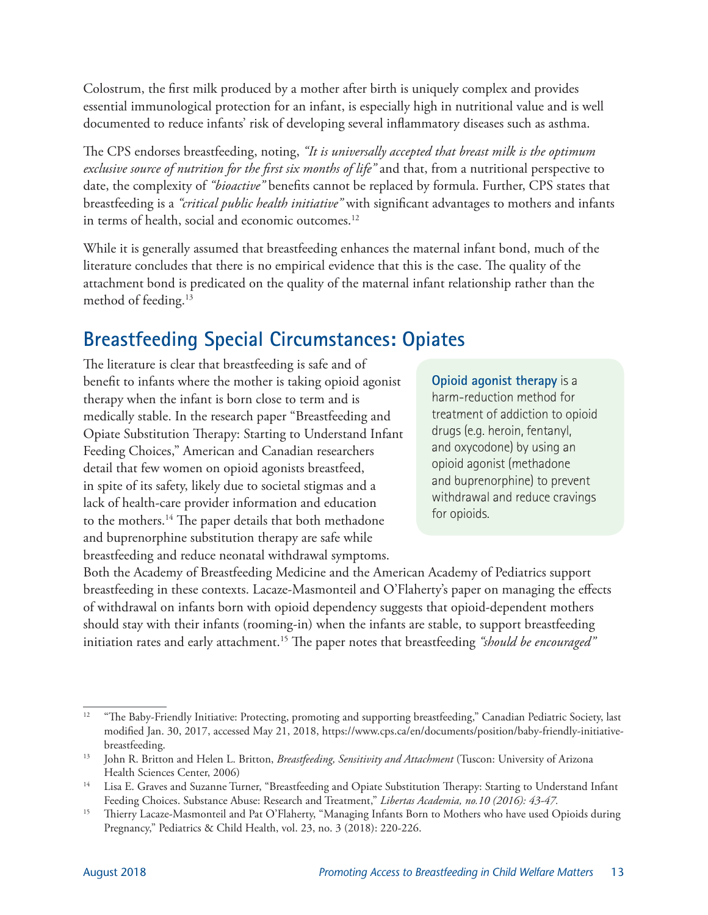Colostrum, the first milk produced by a mother after birth is uniquely complex and provides essential immunological protection for an infant, is especially high in nutritional value and is well documented to reduce infants' risk of developing several inflammatory diseases such as asthma.

The CPS endorses breastfeeding, noting, *"It is universally accepted that breast milk is the optimum exclusive source of nutrition for the first six months of life"* and that, from a nutritional perspective to date, the complexity of *"bioactive"* benefits cannot be replaced by formula. Further, CPS states that breastfeeding is a *"critical public health initiative"* with significant advantages to mothers and infants in terms of health, social and economic outcomes.<sup>12</sup>

While it is generally assumed that breastfeeding enhances the maternal infant bond, much of the literature concludes that there is no empirical evidence that this is the case. The quality of the attachment bond is predicated on the quality of the maternal infant relationship rather than the method of feeding.13

### **Breastfeeding Special Circumstances: Opiates**

The literature is clear that breastfeeding is safe and of benefit to infants where the mother is taking opioid agonist therapy when the infant is born close to term and is medically stable. In the research paper "Breastfeeding and Opiate Substitution Therapy: Starting to Understand Infant Feeding Choices," American and Canadian researchers detail that few women on opioid agonists breastfeed, in spite of its safety, likely due to societal stigmas and a lack of health-care provider information and education to the mothers.14 The paper details that both methadone and buprenorphine substitution therapy are safe while breastfeeding and reduce neonatal withdrawal symptoms.

**Opioid agonist therapy** is a harm-reduction method for treatment of addiction to opioid drugs (e.g. heroin, fentanyl, and oxycodone) by using an opioid agonist (methadone and buprenorphine) to prevent withdrawal and reduce cravings for opioids.

Both the Academy of Breastfeeding Medicine and the American Academy of Pediatrics support breastfeeding in these contexts. Lacaze-Masmonteil and O'Flaherty's paper on managing the effects of withdrawal on infants born with opioid dependency suggests that opioid-dependent mothers should stay with their infants (rooming-in) when the infants are stable, to support breastfeeding initiation rates and early attachment.15 The paper notes that breastfeeding *"should be encouraged"* 

<sup>&</sup>lt;sup>12</sup> "The Baby-Friendly Initiative: Protecting, promoting and supporting breastfeeding," Canadian Pediatric Society, last modified Jan. 30, 2017, accessed May 21, 2018, https://www.cps.ca/en/documents/position/baby-friendly-initiativebreastfeeding.

<sup>13</sup> John R. Britton and Helen L. Britton, *Breastfeeding, Sensitivity and Attachment* (Tuscon: University of Arizona Health Sciences Center, 2006)

<sup>&</sup>lt;sup>14</sup> Lisa E. Graves and Suzanne Turner, "Breastfeeding and Opiate Substitution Therapy: Starting to Understand Infant Feeding Choices. Substance Abuse: Research and Treatment," *Libertas Academia, no.10 (2016): 43-47.*

<sup>&</sup>lt;sup>15</sup> Thierry Lacaze-Masmonteil and Pat O'Flaherty, "Managing Infants Born to Mothers who have used Opioids during Pregnancy," Pediatrics & Child Health, vol. 23, no. 3 (2018): 220-226.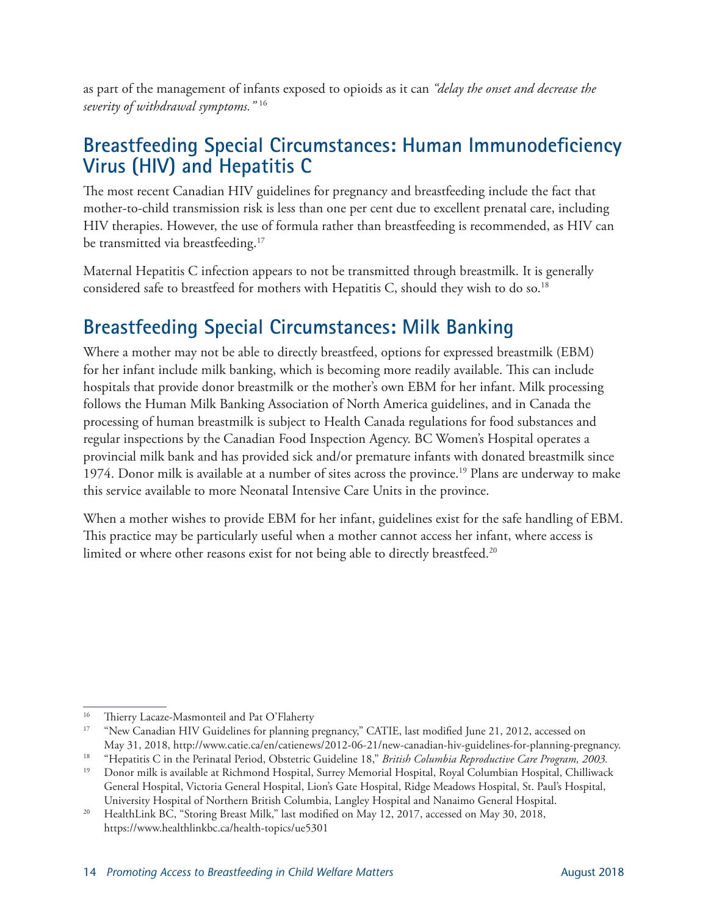as part of the management of infants exposed to opioids as it can *"delay the onset and decrease the severity of withdrawal symptoms."* <sup>16</sup>

### **Breastfeeding Special Circumstances: Human Immunodeficiency Virus (HIV) and Hepatitis C**

The most recent Canadian HIV guidelines for pregnancy and breastfeeding include the fact that mother-to-child transmission risk is less than one per cent due to excellent prenatal care, including HIV therapies. However, the use of formula rather than breastfeeding is recommended, as HIV can be transmitted via breastfeeding.<sup>17</sup>

Maternal Hepatitis C infection appears to not be transmitted through breastmilk. It is generally considered safe to breastfeed for mothers with Hepatitis C, should they wish to do so.<sup>18</sup>

### **Breastfeeding Special Circumstances: Milk Banking**

Where a mother may not be able to directly breastfeed, options for expressed breastmilk (EBM) for her infant include milk banking, which is becoming more readily available. This can include hospitals that provide donor breastmilk or the mother's own EBM for her infant. Milk processing follows the Human Milk Banking Association of North America guidelines, and in Canada the processing of human breastmilk is subject to Health Canada regulations for food substances and regular inspections by the Canadian Food Inspection Agency. BC Women's Hospital operates a provincial milk bank and has provided sick and/or premature infants with donated breastmilk since 1974. Donor milk is available at a number of sites across the province.<sup>19</sup> Plans are underway to make this service available to more Neonatal Intensive Care Units in the province.

When a mother wishes to provide EBM for her infant, guidelines exist for the safe handling of EBM. This practice may be particularly useful when a mother cannot access her infant, where access is limited or where other reasons exist for not being able to directly breastfeed.<sup>20</sup>

<sup>&</sup>lt;sup>16</sup> Thierry Lacaze-Masmonteil and Pat O'Flaherty<br><sup>17</sup> "New Canadian HIV Guidelines for planning pregnancy," CATIE, last modified June 21, 2012, accessed on May 31, 2018, http://www.catie.ca/en/catienews/2012-06-21/new-canadian-hiv-guidelines-for-planning-pregnancy.

<sup>18</sup> "Hepatitis C in the Perinatal Period, Obstetric Guideline 18," *British Columbia Reproductive Care Program, 2003.*

<sup>19</sup> Donor milk is available at Richmond Hospital, Surrey Memorial Hospital, Royal Columbian Hospital, Chilliwack General Hospital, Victoria General Hospital, Lion's Gate Hospital, Ridge Meadows Hospital, St. Paul's Hospital,

University Hospital of Northern British Columbia, Langley Hospital and Nanaimo General Hospital.<br><sup>20</sup> HealthLink BC, "Storing Breast Milk," last modified on May 12, 2017, accessed on May 30, 2018, https://www.healthlinkbc.ca/health-topics/ue5301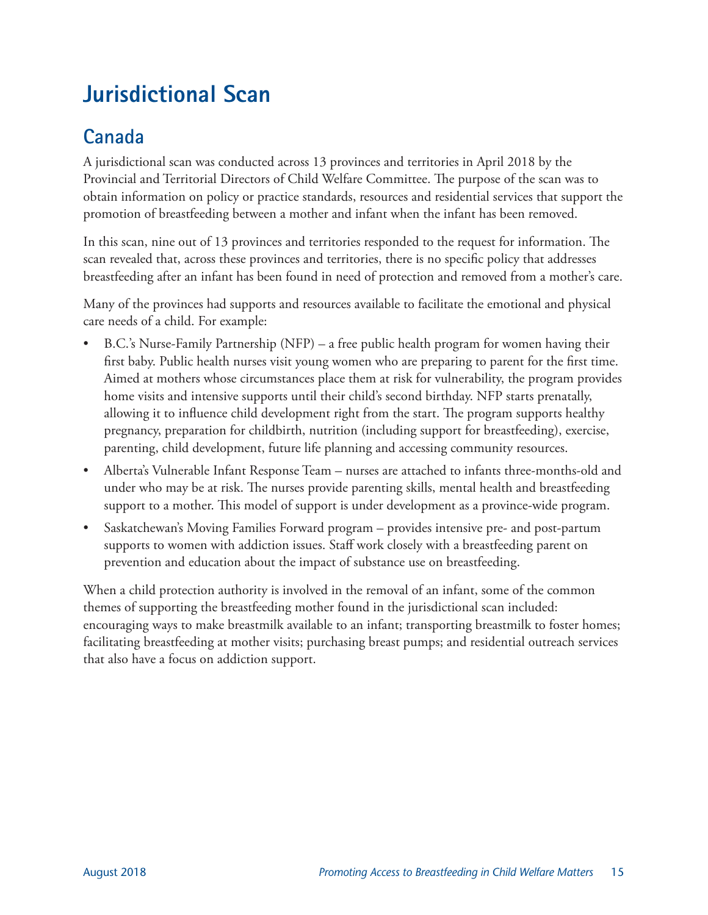# <span id="page-18-0"></span>**Jurisdictional Scan**

### **Canada**

A jurisdictional scan was conducted across 13 provinces and territories in April 2018 by the Provincial and Territorial Directors of Child Welfare Committee. The purpose of the scan was to obtain information on policy or practice standards, resources and residential services that support the promotion of breastfeeding between a mother and infant when the infant has been removed.

In this scan, nine out of 13 provinces and territories responded to the request for information. The scan revealed that, across these provinces and territories, there is no specific policy that addresses breastfeeding after an infant has been found in need of protection and removed from a mother's care.

Many of the provinces had supports and resources available to facilitate the emotional and physical care needs of a child. For example:

- B.C.'s Nurse-Family Partnership (NFP) a free public health program for women having their first baby. Public health nurses visit young women who are preparing to parent for the first time. Aimed at mothers whose circumstances place them at risk for vulnerability, the program provides home visits and intensive supports until their child's second birthday. NFP starts prenatally, allowing it to influence child development right from the start. The program supports healthy pregnancy, preparation for childbirth, nutrition (including support for breastfeeding), exercise, parenting, child development, future life planning and accessing community resources.
- Alberta's Vulnerable Infant Response Team nurses are attached to infants three-months-old and under who may be at risk. The nurses provide parenting skills, mental health and breastfeeding support to a mother. This model of support is under development as a province-wide program.
- Saskatchewan's Moving Families Forward program provides intensive pre- and post-partum supports to women with addiction issues. Staff work closely with a breastfeeding parent on prevention and education about the impact of substance use on breastfeeding.

When a child protection authority is involved in the removal of an infant, some of the common themes of supporting the breastfeeding mother found in the jurisdictional scan included: encouraging ways to make breastmilk available to an infant; transporting breastmilk to foster homes; facilitating breastfeeding at mother visits; purchasing breast pumps; and residential outreach services that also have a focus on addiction support.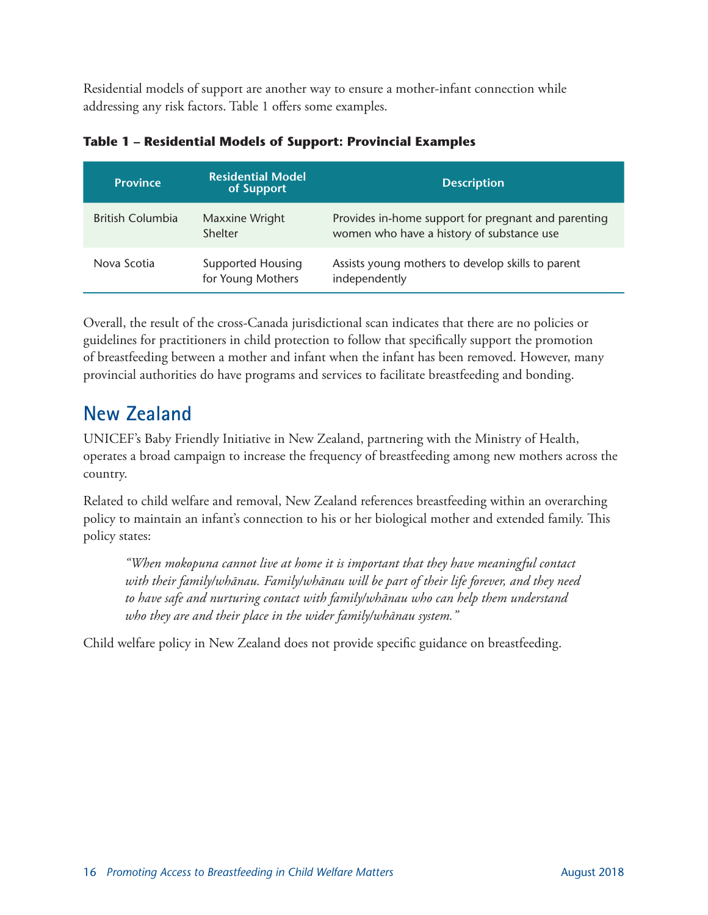Residential models of support are another way to ensure a mother-infant connection while addressing any risk factors. Table 1 offers some examples.

| <b>Province</b>         | <b>Residential Model</b><br>of Support        | <b>Description</b>                                                                               |
|-------------------------|-----------------------------------------------|--------------------------------------------------------------------------------------------------|
| <b>British Columbia</b> | Maxxine Wright<br>Shelter                     | Provides in-home support for pregnant and parenting<br>women who have a history of substance use |
| Nova Scotia             | <b>Supported Housing</b><br>for Young Mothers | Assists young mothers to develop skills to parent<br>independently                               |

| Table 1 – Residential Models of Support: Provincial Examples |  |
|--------------------------------------------------------------|--|
|--------------------------------------------------------------|--|

Overall, the result of the cross-Canada jurisdictional scan indicates that there are no policies or guidelines for practitioners in child protection to follow that specifically support the promotion of breastfeeding between a mother and infant when the infant has been removed. However, many provincial authorities do have programs and services to facilitate breastfeeding and bonding.

### **New Zealand**

UNICEF's Baby Friendly Initiative in New Zealand, partnering with the Ministry of Health, operates a broad campaign to increase the frequency of breastfeeding among new mothers across the country.

Related to child welfare and removal, New Zealand references breastfeeding within an overarching policy to maintain an infant's connection to his or her biological mother and extended family. This policy states:

*"When mokopuna cannot live at home it is important that they have meaningful contact with their family/whānau. Family/whānau will be part of their life forever, and they need to have safe and nurturing contact with family/whānau who can help them understand who they are and their place in the wider family/whānau system."* 

Child welfare policy in New Zealand does not provide specific guidance on breastfeeding.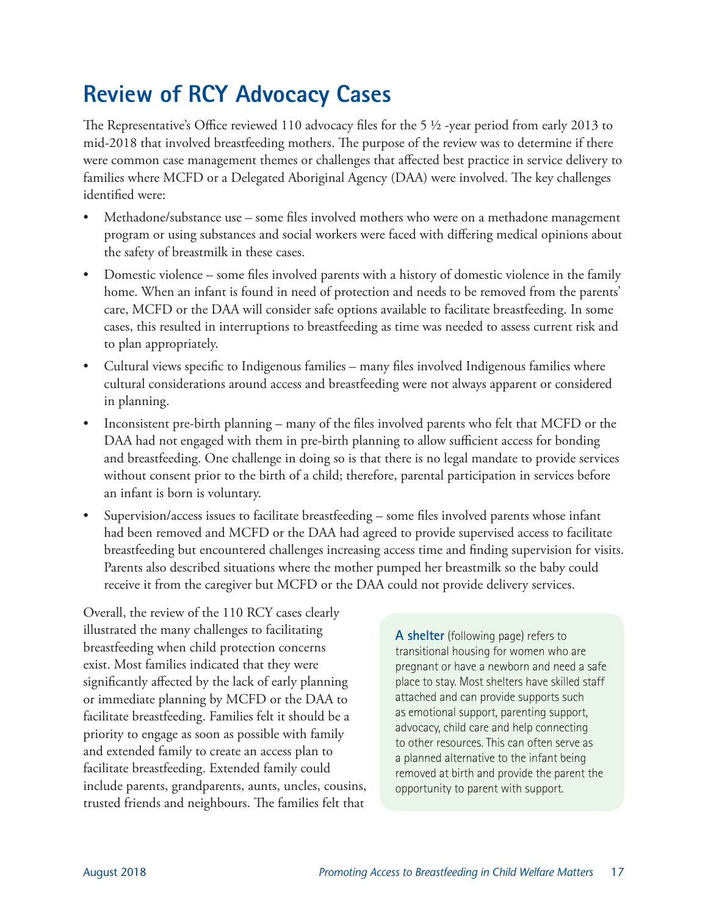# <span id="page-20-0"></span>**Review of RCY Advocacy Cases**

The Representative's Office reviewed 110 advocacy files for the 5 ½ -year period from early 2013 to mid-2018 that involved breastfeeding mothers. The purpose of the review was to determine if there were common case management themes or challenges that affected best practice in service delivery to families where MCFD or a Delegated Aboriginal Agency (DAA) were involved. The key challenges identified were:

- Methadone/substance use some files involved mothers who were on a methadone management program or using substances and social workers were faced with differing medical opinions about the safety of breastmilk in these cases.
- Domestic violence some files involved parents with a history of domestic violence in the family home. When an infant is found in need of protection and needs to be removed from the parents' care, MCFD or the DAA will consider safe options available to facilitate breastfeeding. In some cases, this resulted in interruptions to breastfeeding as time was needed to assess current risk and to plan appropriately.
- Cultural views specific to Indigenous families many files involved Indigenous families where cultural considerations around access and breastfeeding were not always apparent or considered in planning.
- Inconsistent pre-birth planning many of the files involved parents who felt that MCFD or the DAA had not engaged with them in pre-birth planning to allow sufficient access for bonding and breastfeeding. One challenge in doing so is that there is no legal mandate to provide services without consent prior to the birth of a child; therefore, parental participation in services before an infant is born is voluntary.
- Supervision/access issues to facilitate breastfeeding some files involved parents whose infant had been removed and MCFD or the DAA had agreed to provide supervised access to facilitate breastfeeding but encountered challenges increasing access time and finding supervision for visits. Parents also described situations where the mother pumped her breastmilk so the baby could receive it from the caregiver but MCFD or the DAA could not provide delivery services.

Overall, the review of the 110 RCY cases clearly illustrated the many challenges to facilitating breastfeeding when child protection concerns exist. Most families indicated that they were significantly affected by the lack of early planning or immediate planning by MCFD or the DAA to facilitate breastfeeding. Families felt it should be a priority to engage as soon as possible with family and extended family to create an access plan to facilitate breastfeeding. Extended family could include parents, grandparents, aunts, uncles, cousins, trusted friends and neighbours. The families felt that

**A shelter** (following page) refers to transitional housing for women who are pregnant or have a newborn and need a safe place to stay. Most shelters have skilled staff attached and can provide supports such as emotional support, parenting support, advocacy, child care and help connecting to other resources. This can often serve as a planned alternative to the infant being removed at birth and provide the parent the opportunity to parent with support.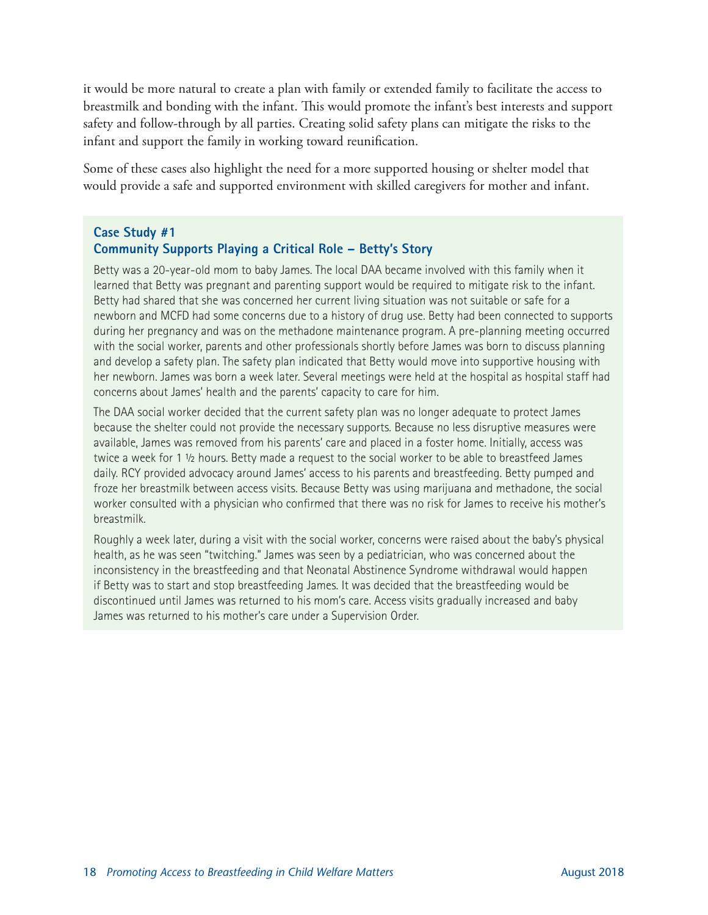it would be more natural to create a plan with family or extended family to facilitate the access to breastmilk and bonding with the infant. This would promote the infant's best interests and support safety and follow-through by all parties. Creating solid safety plans can mitigate the risks to the infant and support the family in working toward reunification.

Some of these cases also highlight the need for a more supported housing or shelter model that would provide a safe and supported environment with skilled caregivers for mother and infant.

#### **Case Study #1 Community Supports Playing a Critical Role – Betty's Story**

Betty was a 20-year-old mom to baby James. The local DAA became involved with this family when it learned that Betty was pregnant and parenting support would be required to mitigate risk to the infant. Betty had shared that she was concerned her current living situation was not suitable or safe for a newborn and MCFD had some concerns due to a history of drug use. Betty had been connected to supports during her pregnancy and was on the methadone maintenance program. A pre-planning meeting occurred with the social worker, parents and other professionals shortly before James was born to discuss planning and develop a safety plan. The safety plan indicated that Betty would move into supportive housing with her newborn. James was born a week later. Several meetings were held at the hospital as hospital staff had concerns about James' health and the parents' capacity to care for him.

The DAA social worker decided that the current safety plan was no longer adequate to protect James because the shelter could not provide the necessary supports. Because no less disruptive measures were available, James was removed from his parents' care and placed in a foster home. Initially, access was twice a week for 1 ½ hours. Betty made a request to the social worker to be able to breastfeed James daily. RCY provided advocacy around James' access to his parents and breastfeeding. Betty pumped and froze her breastmilk between access visits. Because Betty was using marijuana and methadone, the social worker consulted with a physician who confirmed that there was no risk for James to receive his mother's breastmilk.

Roughly a week later, during a visit with the social worker, concerns were raised about the baby's physical health, as he was seen "twitching." James was seen by a pediatrician, who was concerned about the inconsistency in the breastfeeding and that Neonatal Abstinence Syndrome withdrawal would happen if Betty was to start and stop breastfeeding James. It was decided that the breastfeeding would be discontinued until James was returned to his mom's care. Access visits gradually increased and baby James was returned to his mother's care under a Supervision Order.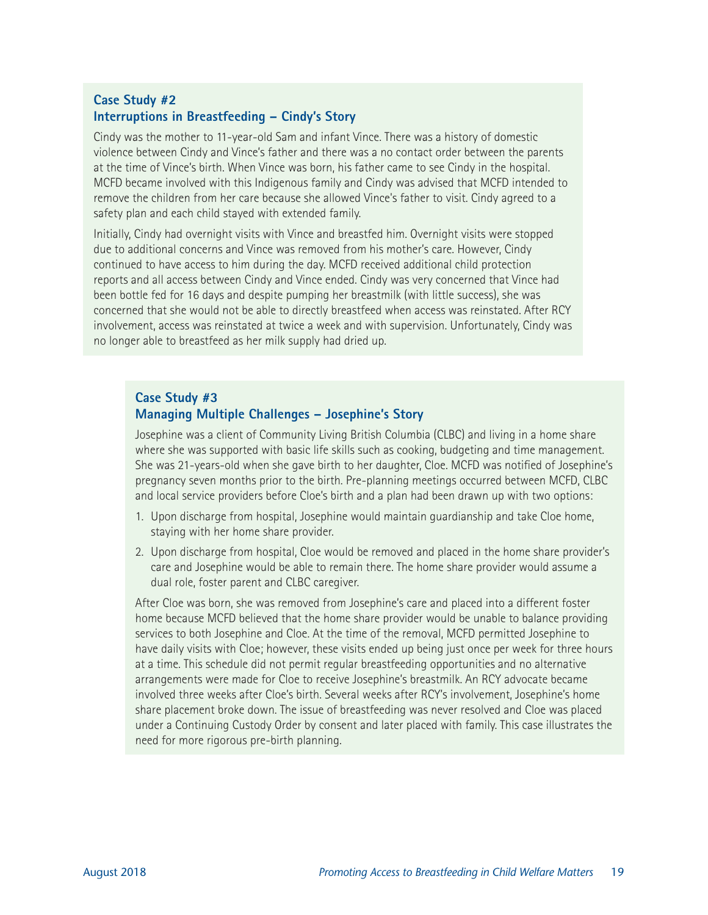#### **Case Study #2 Interruptions in Breastfeeding – Cindy's Story**

Cindy was the mother to 11-year-old Sam and infant Vince. There was a history of domestic violence between Cindy and Vince's father and there was a no contact order between the parents at the time of Vince's birth. When Vince was born, his father came to see Cindy in the hospital. MCFD became involved with this Indigenous family and Cindy was advised that MCFD intended to remove the children from her care because she allowed Vince's father to visit. Cindy agreed to a safety plan and each child stayed with extended family.

Initially, Cindy had overnight visits with Vince and breastfed him. Overnight visits were stopped due to additional concerns and Vince was removed from his mother's care. However, Cindy continued to have access to him during the day. MCFD received additional child protection reports and all access between Cindy and Vince ended. Cindy was very concerned that Vince had been bottle fed for 16 days and despite pumping her breastmilk (with little success), she was concerned that she would not be able to directly breastfeed when access was reinstated. After RCY involvement, access was reinstated at twice a week and with supervision. Unfortunately, Cindy was no longer able to breastfeed as her milk supply had dried up.

#### **Case Study #3 Managing Multiple Challenges – Josephine's Story**

Josephine was a client of Community Living British Columbia (CLBC) and living in a home share where she was supported with basic life skills such as cooking, budgeting and time management. She was 21-years-old when she gave birth to her daughter, Cloe. MCFD was notified of Josephine's pregnancy seven months prior to the birth. Pre-planning meetings occurred between MCFD, CLBC and local service providers before Cloe's birth and a plan had been drawn up with two options:

- 1. Upon discharge from hospital, Josephine would maintain guardianship and take Cloe home, staying with her home share provider.
- 2. Upon discharge from hospital, Cloe would be removed and placed in the home share provider's care and Josephine would be able to remain there. The home share provider would assume a dual role, foster parent and CLBC caregiver.

After Cloe was born, she was removed from Josephine's care and placed into a different foster home because MCFD believed that the home share provider would be unable to balance providing services to both Josephine and Cloe. At the time of the removal, MCFD permitted Josephine to have daily visits with Cloe; however, these visits ended up being just once per week for three hours at a time. This schedule did not permit regular breastfeeding opportunities and no alternative arrangements were made for Cloe to receive Josephine's breastmilk. An RCY advocate became involved three weeks after Cloe's birth. Several weeks after RCY's involvement, Josephine's home share placement broke down. The issue of breastfeeding was never resolved and Cloe was placed under a Continuing Custody Order by consent and later placed with family. This case illustrates the need for more rigorous pre-birth planning.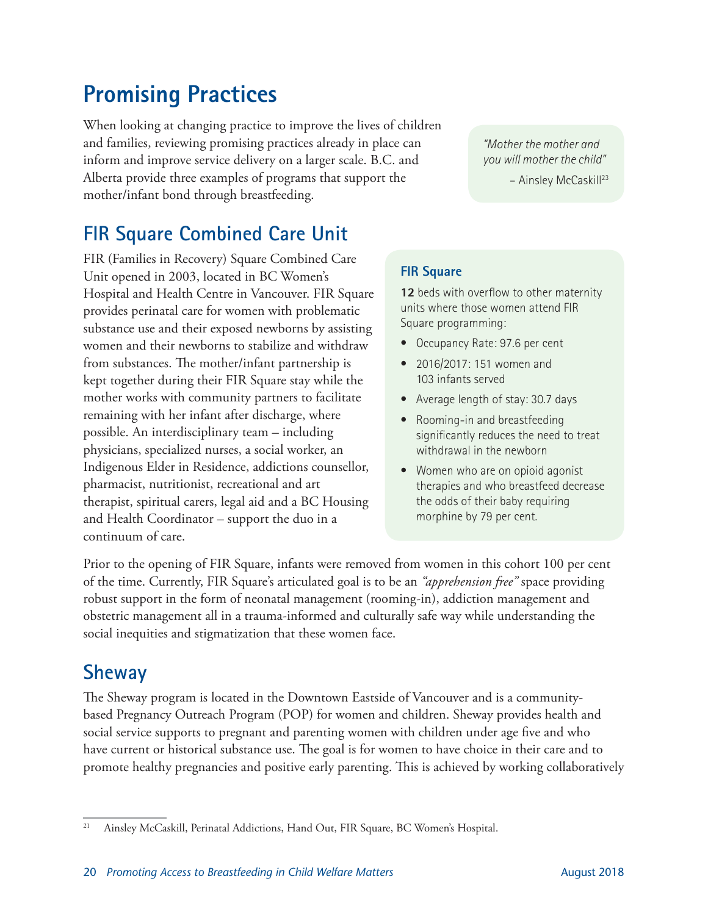# <span id="page-23-0"></span>**Promising Practices**

When looking at changing practice to improve the lives of children and families, reviewing promising practices already in place can inform and improve service delivery on a larger scale. B.C. and Alberta provide three examples of programs that support the mother/infant bond through breastfeeding.

**FIR Square Combined Care Unit**

FIR (Families in Recovery) Square Combined Care Unit opened in 2003, located in BC Women's Hospital and Health Centre in Vancouver. FIR Square provides perinatal care for women with problematic substance use and their exposed newborns by assisting women and their newborns to stabilize and withdraw from substances. The mother/infant partnership is kept together during their FIR Square stay while the mother works with community partners to facilitate remaining with her infant after discharge, where possible. An interdisciplinary team – including physicians, specialized nurses, a social worker, an Indigenous Elder in Residence, addictions counsellor, pharmacist, nutritionist, recreational and art therapist, spiritual carers, legal aid and a BC Housing and Health Coordinator – support the duo in a continuum of care.

*"Mother the mother and you will mother the child"* 

– Ainsley McCaskill23

#### **FIR Square**

12 beds with overflow to other maternity units where those women attend FIR Square programming:

- Occupancy Rate: 97.6 per cent
- 2016/2017: 151 women and 103 infants served
- Average length of stay: 30.7 days
- Rooming-in and breastfeeding significantly reduces the need to treat withdrawal in the newborn
- Women who are on opioid agonist therapies and who breastfeed decrease the odds of their baby requiring morphine by 79 per cent.

Prior to the opening of FIR Square, infants were removed from women in this cohort 100 per cent of the time. Currently, FIR Square's articulated goal is to be an *"apprehension free"* space providing robust support in the form of neonatal management (rooming-in), addiction management and obstetric management all in a trauma-informed and culturally safe way while understanding the social inequities and stigmatization that these women face.

### **Sheway**

The Sheway program is located in the Downtown Eastside of Vancouver and is a communitybased Pregnancy Outreach Program (POP) for women and children. Sheway provides health and social service supports to pregnant and parenting women with children under age five and who have current or historical substance use. The goal is for women to have choice in their care and to promote healthy pregnancies and positive early parenting. This is achieved by working collaboratively

<sup>&</sup>lt;sup>21</sup> Ainsley McCaskill, Perinatal Addictions, Hand Out, FIR Square, BC Women's Hospital.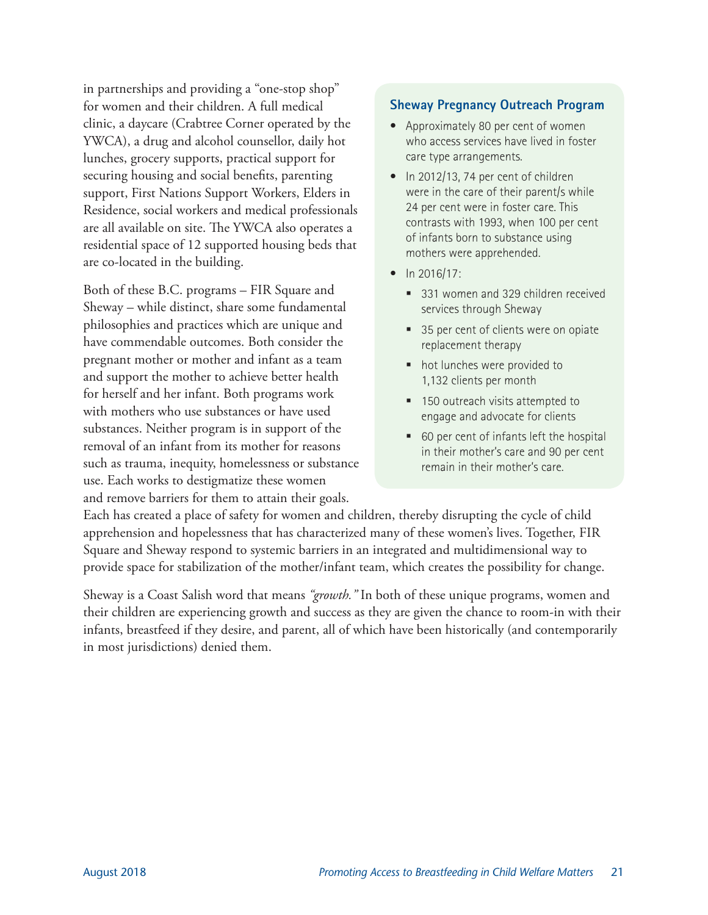in partnerships and providing a "one-stop shop" for women and their children. A full medical clinic, a daycare (Crabtree Corner operated by the YWCA), a drug and alcohol counsellor, daily hot lunches, grocery supports, practical support for securing housing and social benefits, parenting support, First Nations Support Workers, Elders in Residence, social workers and medical professionals are all available on site. The YWCA also operates a residential space of 12 supported housing beds that are co-located in the building.

Both of these B.C. programs – FIR Square and Sheway – while distinct, share some fundamental philosophies and practices which are unique and have commendable outcomes. Both consider the pregnant mother or mother and infant as a team and support the mother to achieve better health for herself and her infant. Both programs work with mothers who use substances or have used substances. Neither program is in support of the removal of an infant from its mother for reasons such as trauma, inequity, homelessness or substance use. Each works to destigmatize these women and remove barriers for them to attain their goals.

#### **Sheway Pregnancy Outreach Program**

- Approximately 80 per cent of women who access services have lived in foster care type arrangements.
- In 2012/13, 74 per cent of children were in the care of their parent/s while 24 per cent were in foster care. This contrasts with 1993, when 100 per cent of infants born to substance using mothers were apprehended.
- In 2016/17:
	- 331 women and 329 children received services through Sheway
	- 35 per cent of clients were on opiate replacement therapy
	- hot lunches were provided to 1,132 clients per month
	- 150 outreach visits attempted to engage and advocate for clients
	- 60 per cent of infants left the hospital in their mother's care and 90 per cent remain in their mother's care.

Each has created a place of safety for women and children, thereby disrupting the cycle of child apprehension and hopelessness that has characterized many of these women's lives. Together, FIR Square and Sheway respond to systemic barriers in an integrated and multidimensional way to provide space for stabilization of the mother/infant team, which creates the possibility for change.

Sheway is a Coast Salish word that means *"growth."* In both of these unique programs, women and their children are experiencing growth and success as they are given the chance to room-in with their infants, breastfeed if they desire, and parent, all of which have been historically (and contemporarily in most jurisdictions) denied them.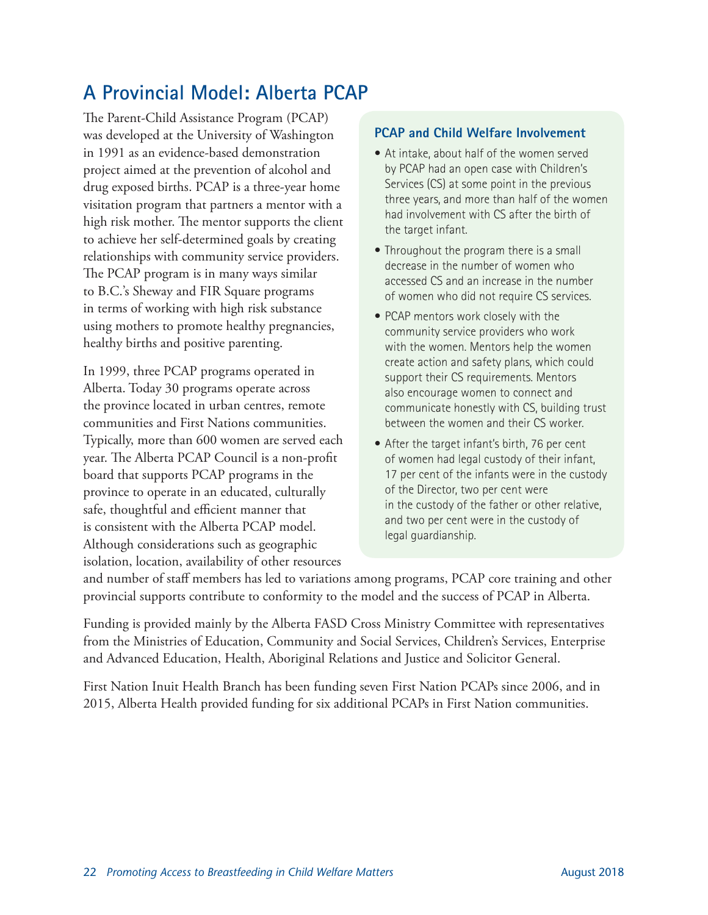### **A Provincial Model: Alberta PCAP**

The Parent-Child Assistance Program (PCAP) was developed at the University of Washington in 1991 as an evidence-based demonstration project aimed at the prevention of alcohol and drug exposed births. PCAP is a three-year home visitation program that partners a mentor with a high risk mother. The mentor supports the client to achieve her self-determined goals by creating relationships with community service providers. The PCAP program is in many ways similar to B.C.'s Sheway and FIR Square programs in terms of working with high risk substance using mothers to promote healthy pregnancies, healthy births and positive parenting.

In 1999, three PCAP programs operated in Alberta. Today 30 programs operate across the province located in urban centres, remote communities and First Nations communities. Typically, more than 600 women are served each year. The Alberta PCAP Council is a non-profit board that supports PCAP programs in the province to operate in an educated, culturally safe, thoughtful and efficient manner that is consistent with the Alberta PCAP model. Although considerations such as geographic isolation, location, availability of other resources

#### **PCAP and Child Welfare Involvement**

- At intake, about half of the women served by PCAP had an open case with Children's Services (CS) at some point in the previous three years, and more than half of the women had involvement with CS after the birth of the target infant.
- Throughout the program there is a small decrease in the number of women who accessed CS and an increase in the number of women who did not require CS services.
- PCAP mentors work closely with the community service providers who work with the women. Mentors help the women create action and safety plans, which could support their CS requirements. Mentors also encourage women to connect and communicate honestly with CS, building trust between the women and their CS worker.
- After the target infant's birth, 76 per cent of women had legal custody of their infant, 17 per cent of the infants were in the custody of the Director, two per cent were in the custody of the father or other relative, and two per cent were in the custody of legal guardianship.

and number of staff members has led to variations among programs, PCAP core training and other provincial supports contribute to conformity to the model and the success of PCAP in Alberta.

Funding is provided mainly by the Alberta FASD Cross Ministry Committee with representatives from the Ministries of Education, Community and Social Services, Children's Services, Enterprise and Advanced Education, Health, Aboriginal Relations and Justice and Solicitor General.

First Nation Inuit Health Branch has been funding seven First Nation PCAPs since 2006, and in 2015, Alberta Health provided funding for six additional PCAPs in First Nation communities.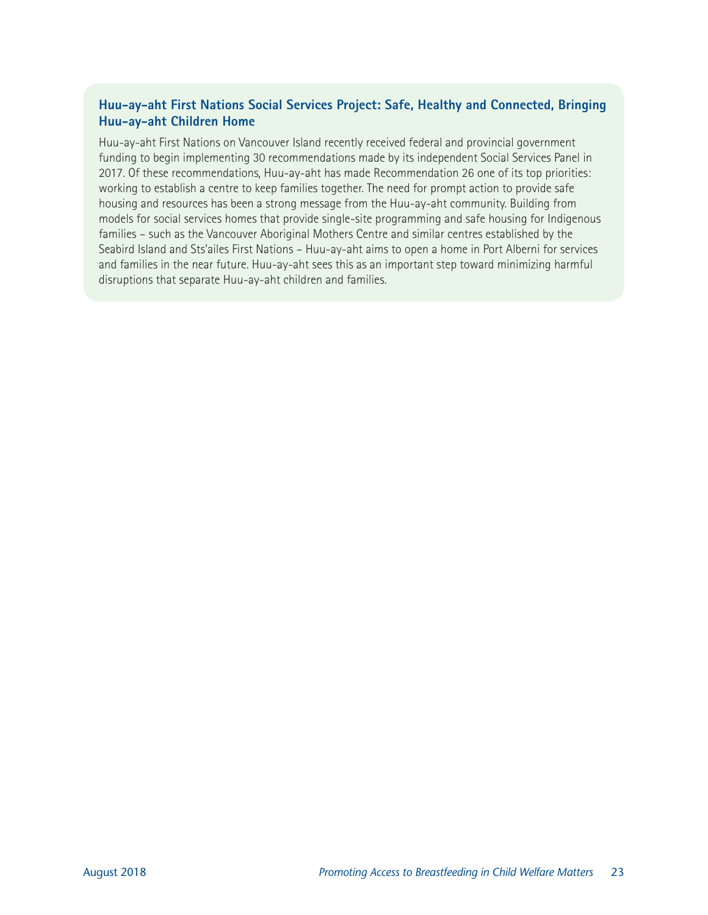#### **Huu-ay-aht First Nations Social Services Project: Safe, Healthy and Connected, Bringing Huu-ay-aht Children Home**

Huu-ay-aht First Nations on Vancouver Island recently received federal and provincial government funding to begin implementing 30 recommendations made by its independent Social Services Panel in 2017. Of these recommendations, Huu-ay-aht has made Recommendation 26 one of its top priorities: working to establish a centre to keep families together. The need for prompt action to provide safe housing and resources has been a strong message from the Huu-ay-aht community. Building from models for social services homes that provide single-site programming and safe housing for Indigenous families – such as the Vancouver Aboriginal Mothers Centre and similar centres established by the Seabird Island and Sts'ailes First Nations – Huu-ay-aht aims to open a home in Port Alberni for services and families in the near future. Huu-ay-aht sees this as an important step toward minimizing harmful disruptions that separate Huu-ay-aht children and families.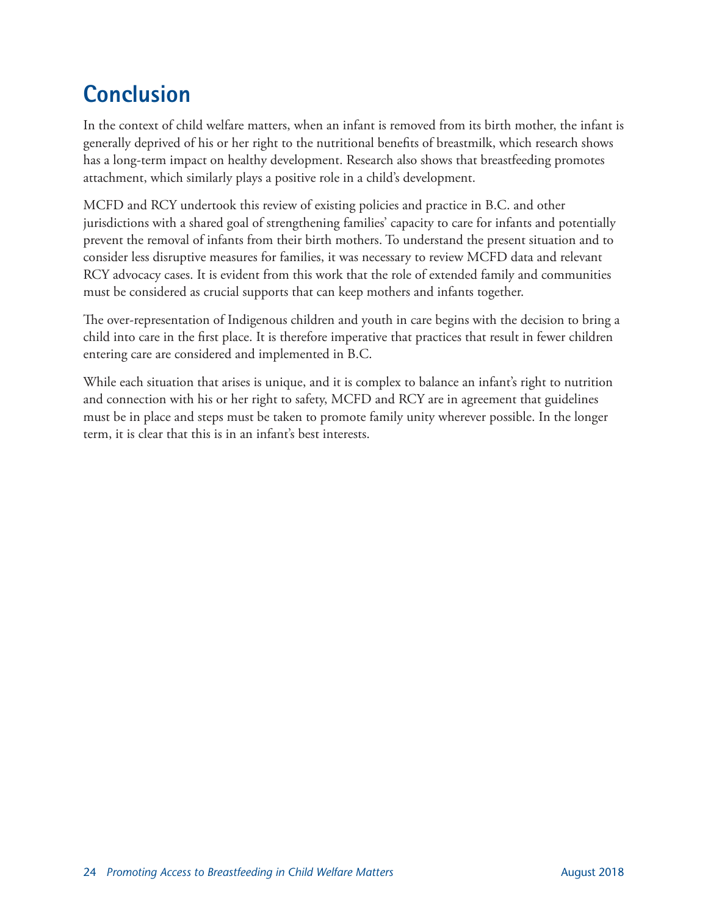# <span id="page-27-0"></span>**Conclusion**

In the context of child welfare matters, when an infant is removed from its birth mother, the infant is generally deprived of his or her right to the nutritional benefits of breastmilk, which research shows has a long-term impact on healthy development. Research also shows that breastfeeding promotes attachment, which similarly plays a positive role in a child's development.

MCFD and RCY undertook this review of existing policies and practice in B.C. and other jurisdictions with a shared goal of strengthening families' capacity to care for infants and potentially prevent the removal of infants from their birth mothers. To understand the present situation and to consider less disruptive measures for families, it was necessary to review MCFD data and relevant RCY advocacy cases. It is evident from this work that the role of extended family and communities must be considered as crucial supports that can keep mothers and infants together.

The over-representation of Indigenous children and youth in care begins with the decision to bring a child into care in the first place. It is therefore imperative that practices that result in fewer children entering care are considered and implemented in B.C.

While each situation that arises is unique, and it is complex to balance an infant's right to nutrition and connection with his or her right to safety, MCFD and RCY are in agreement that guidelines must be in place and steps must be taken to promote family unity wherever possible. In the longer term, it is clear that this is in an infant's best interests.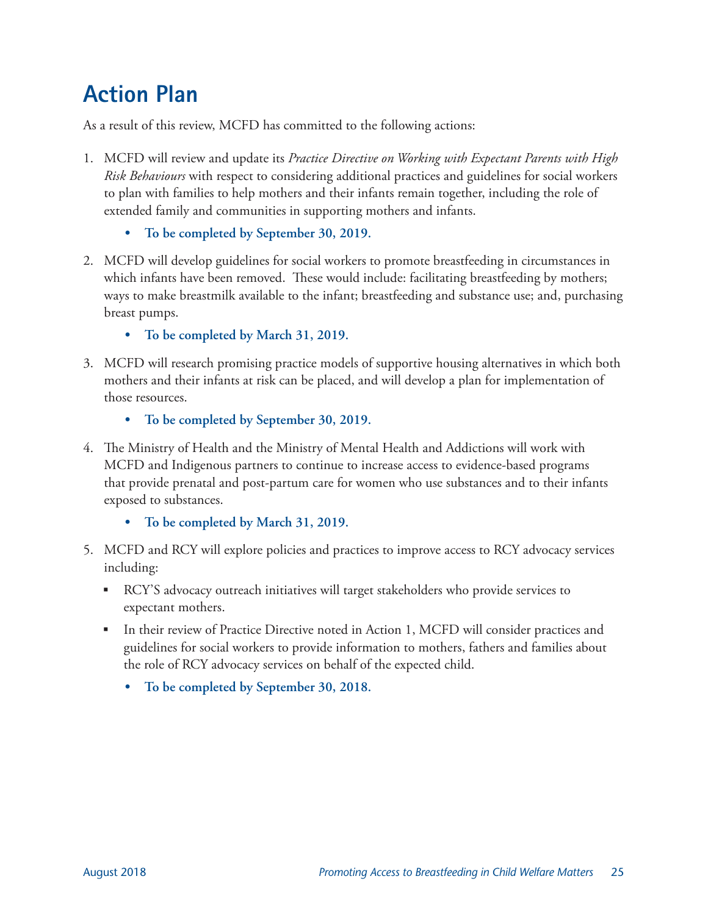# <span id="page-28-0"></span>**Action Plan**

As a result of this review, MCFD has committed to the following actions:

- 1. MCFD will review and update its *Practice Directive on Working with Expectant Parents with High Risk Behaviours* with respect to considering additional practices and guidelines for social workers to plan with families to help mothers and their infants remain together, including the role of extended family and communities in supporting mothers and infants.
	- **• To be completed by September 30, 2019.**
- 2. MCFD will develop guidelines for social workers to promote breastfeeding in circumstances in which infants have been removed. These would include: facilitating breastfeeding by mothers; ways to make breastmilk available to the infant; breastfeeding and substance use; and, purchasing breast pumps.
	- **• To be completed by March 31, 2019.**
- 3. MCFD will research promising practice models of supportive housing alternatives in which both mothers and their infants at risk can be placed, and will develop a plan for implementation of those resources.
	- **• To be completed by September 30, 2019.**
- 4. The Ministry of Health and the Ministry of Mental Health and Addictions will work with MCFD and Indigenous partners to continue to increase access to evidence-based programs that provide prenatal and post-partum care for women who use substances and to their infants exposed to substances.
	- **• To be completed by March 31, 2019.**
- 5. MCFD and RCY will explore policies and practices to improve access to RCY advocacy services including:
	- RCY'S advocacy outreach initiatives will target stakeholders who provide services to expectant mothers.
	- In their review of Practice Directive noted in Action 1, MCFD will consider practices and guidelines for social workers to provide information to mothers, fathers and families about the role of RCY advocacy services on behalf of the expected child.
		- **• To be completed by September 30, 2018.**